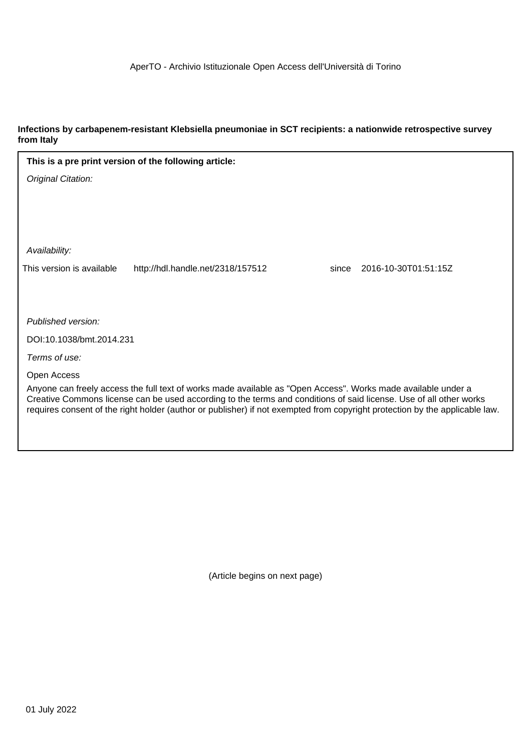#### **Infections by carbapenem-resistant Klebsiella pneumoniae in SCT recipients: a nationwide retrospective survey from Italy**

| This is a pre print version of the following article:                                                                                                                                                                               |       |                      |  |
|-------------------------------------------------------------------------------------------------------------------------------------------------------------------------------------------------------------------------------------|-------|----------------------|--|
| Original Citation:                                                                                                                                                                                                                  |       |                      |  |
|                                                                                                                                                                                                                                     |       |                      |  |
|                                                                                                                                                                                                                                     |       |                      |  |
|                                                                                                                                                                                                                                     |       |                      |  |
| Availability:                                                                                                                                                                                                                       |       |                      |  |
| This version is available<br>http://hdl.handle.net/2318/157512                                                                                                                                                                      | since | 2016-10-30T01:51:15Z |  |
|                                                                                                                                                                                                                                     |       |                      |  |
|                                                                                                                                                                                                                                     |       |                      |  |
| Published version:                                                                                                                                                                                                                  |       |                      |  |
| DOI:10.1038/bmt.2014.231                                                                                                                                                                                                            |       |                      |  |
| Terms of use:                                                                                                                                                                                                                       |       |                      |  |
| Open Access                                                                                                                                                                                                                         |       |                      |  |
| Anyone can freely access the full text of works made available as "Open Access". Works made available under a<br>Creative Commons license can be used according to the terms and conditions of said license. Use of all other works |       |                      |  |
| requires consent of the right holder (author or publisher) if not exempted from copyright protection by the applicable law.                                                                                                         |       |                      |  |

(Article begins on next page)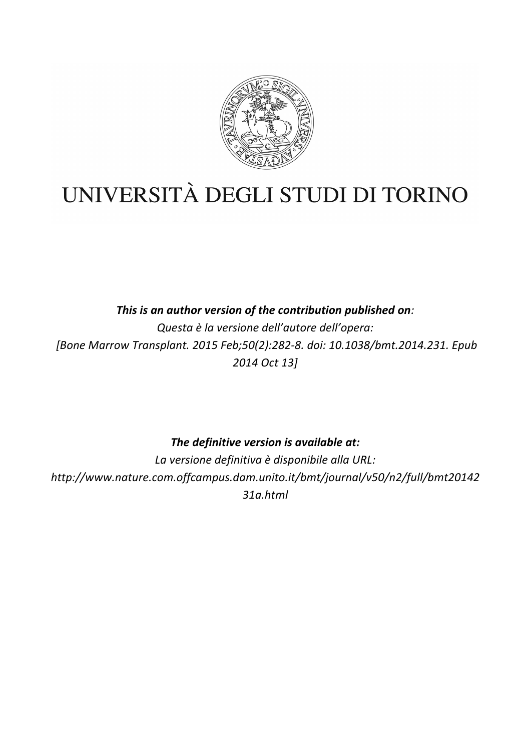

# UNIVERSITÀ DEGLI STUDI DI TORINO

This is an author version of the contribution published on: *Questa è la versione dell'autore dell'opera: [Bone Marrow Transplant. 2015 Feb;50(2):282-8. doi: 10.1038/bmt.2014.231. Epub 2014 Oct 13]*

The definitive version is available at:

La versione definitiva è disponibile alla URL: *http://www.nature.com.offcampus.dam.unito.it/bmt/journal/v50/n2/full/bmt20142 31a.html*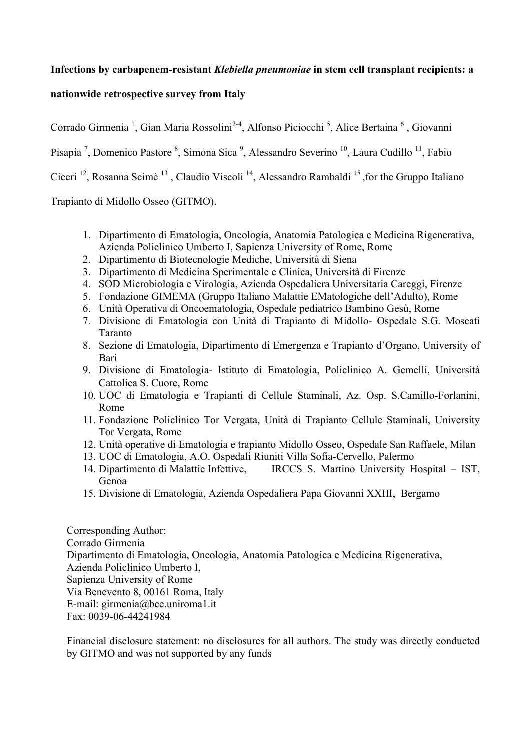# **Infections by carbapenem-resistant** *Klebiella pneumoniae* **in stem cell transplant recipients: a**

#### **nationwide retrospective survey from Italy**

Corrado Girmenia<sup>1</sup>, Gian Maria Rossolini<sup>2-4</sup>, Alfonso Piciocchi<sup>5</sup>, Alice Bertaina<sup>6</sup>, Giovanni Pisapia<sup>7</sup>, Domenico Pastore<sup>8</sup>, Simona Sica<sup>9</sup>, Alessandro Severino<sup>10</sup>, Laura Cudillo<sup>11</sup>, Fabio Ciceri<sup>12</sup>, Rosanna Scimè<sup>13</sup>, Claudio Viscoli<sup>14</sup>, Alessandro Rambaldi<sup>15</sup>, for the Gruppo Italiano Trapianto di Midollo Osseo (GITMO).

1. Dipartimento di Ematologia, Oncologia, Anatomia Patologica e Medicina Rigenerativa, Azienda Policlinico Umberto I, Sapienza University of Rome, Rome

- 2. Dipartimento di Biotecnologie Mediche, Università di Siena
- 3. Dipartimento di Medicina Sperimentale e Clinica, Università di Firenze
- 4. SOD Microbiologia e Virologia, Azienda Ospedaliera Universitaria Careggi, Firenze
- 5. Fondazione GIMEMA (Gruppo Italiano Malattie EMatologiche dell'Adulto), Rome
- 6. Unità Operativa di Oncoematologia, Ospedale pediatrico Bambino Gesù, Rome
- 7. Divisione di Ematologia con Unità di Trapianto di Midollo- Ospedale S.G. Moscati Taranto
- 8. Sezione di Ematologia, Dipartimento di Emergenza e Trapianto d'Organo, University of Bari
- 9. Divisione di Ematologia- Istituto di Ematologia, Policlinico A. Gemelli, Università Cattolica S. Cuore, Rome
- 10. UOC di Ematologia e Trapianti di Cellule Staminali, Az. Osp. S.Camillo-Forlanini, Rome
- 11. Fondazione Policlinico Tor Vergata, Unità di Trapianto Cellule Staminali, University Tor Vergata, Rome
- 12. Unità operative di Ematologia e trapianto Midollo Osseo, Ospedale San Raffaele, Milan
- 13. UOC di Ematologia, A.O. Ospedali Riuniti Villa Sofia-Cervello, Palermo
- 14. Dipartimento di Malattie Infettive, IRCCS S. Martino University Hospital IST, Genoa
- 15. Divisione di Ematologia, Azienda Ospedaliera Papa Giovanni XXIII, Bergamo

Corresponding Author: Corrado Girmenia Dipartimento di Ematologia, Oncologia, Anatomia Patologica e Medicina Rigenerativa, Azienda Policlinico Umberto I, Sapienza University of Rome Via Benevento 8, 00161 Roma, Italy E-mail: girmenia@bce.uniroma1.it Fax: 0039-06-44241984

Financial disclosure statement: no disclosures for all authors. The study was directly conducted by GITMO and was not supported by any funds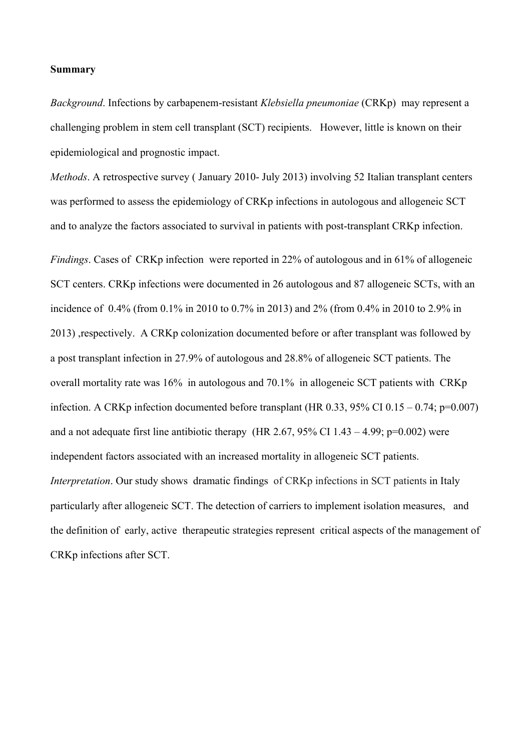#### **Summary**

*Background*. Infections by carbapenem-resistant *Klebsiella pneumoniae* (CRKp) may represent a challenging problem in stem cell transplant (SCT) recipients. However, little is known on their epidemiological and prognostic impact.

*Methods*. A retrospective survey ( January 2010- July 2013) involving 52 Italian transplant centers was performed to assess the epidemiology of CRKp infections in autologous and allogeneic SCT and to analyze the factors associated to survival in patients with post-transplant CRKp infection.

*Findings*. Cases of CRKp infection were reported in 22% of autologous and in 61% of allogeneic SCT centers. CRKp infections were documented in 26 autologous and 87 allogeneic SCTs, with an incidence of 0.4% (from 0.1% in 2010 to 0.7% in 2013) and 2% (from 0.4% in 2010 to 2.9% in 2013) ,respectively. A CRKp colonization documented before or after transplant was followed by a post transplant infection in 27.9% of autologous and 28.8% of allogeneic SCT patients. The overall mortality rate was 16% in autologous and 70.1% in allogeneic SCT patients with CRKp infection. A CRKp infection documented before transplant (HR  $0.33$ ,  $95\%$  CI  $0.15 - 0.74$ ; p=0.007) and a not adequate first line antibiotic therapy (HR 2.67, 95% CI 1.43 – 4.99;  $p=0.002$ ) were independent factors associated with an increased mortality in allogeneic SCT patients. *Interpretation*. Our study shows dramatic findings of CRKp infections in SCT patients in Italy particularly after allogeneic SCT. The detection of carriers to implement isolation measures, and the definition of early, active therapeutic strategies represent critical aspects of the management of CRKp infections after SCT.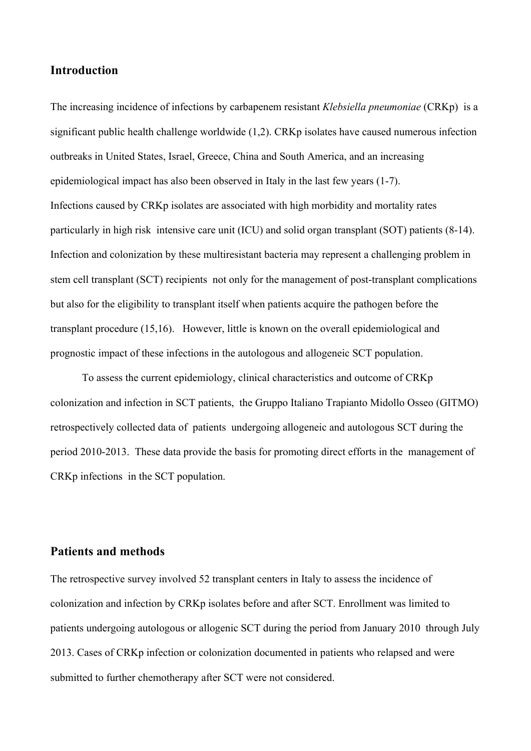### **Introduction**

The increasing incidence of infections by carbapenem resistant *Klebsiella pneumoniae* (CRKp) is a significant public health challenge worldwide (1,2). CRKp isolates have caused numerous infection outbreaks in United States, Israel, Greece, China and South America, and an increasing epidemiological impact has also been observed in Italy in the last few years (1-7). Infections caused by CRKp isolates are associated with high morbidity and mortality rates particularly in high risk intensive care unit (ICU) and solid organ transplant (SOT) patients (8-14). Infection and colonization by these multiresistant bacteria may represent a challenging problem in stem cell transplant (SCT) recipients not only for the management of post-transplant complications but also for the eligibility to transplant itself when patients acquire the pathogen before the transplant procedure (15,16). However, little is known on the overall epidemiological and prognostic impact of these infections in the autologous and allogeneic SCT population.

To assess the current epidemiology, clinical characteristics and outcome of CRKp colonization and infection in SCT patients, the Gruppo Italiano Trapianto Midollo Osseo (GITMO) retrospectively collected data of patients undergoing allogeneic and autologous SCT during the period 2010-2013. These data provide the basis for promoting direct efforts in the management of CRKp infections in the SCT population.

#### **Patients and methods**

The retrospective survey involved 52 transplant centers in Italy to assess the incidence of colonization and infection by CRKp isolates before and after SCT. Enrollment was limited to patients undergoing autologous or allogenic SCT during the period from January 2010 through July 2013. Cases of CRKp infection or colonization documented in patients who relapsed and were submitted to further chemotherapy after SCT were not considered.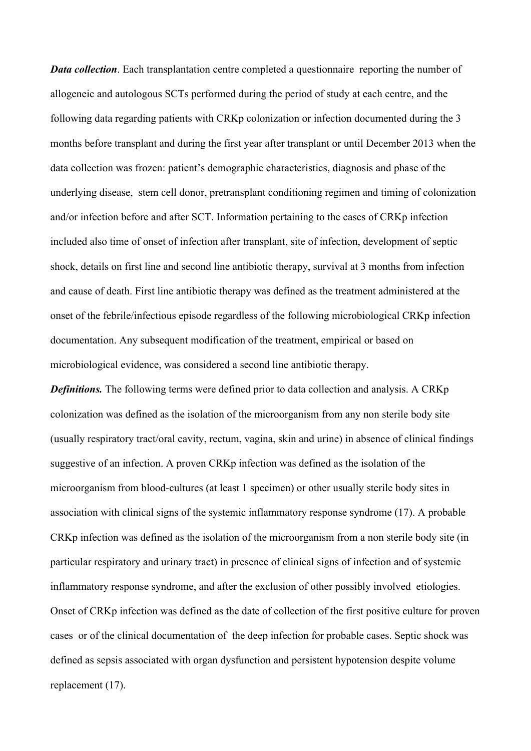*Data collection*. Each transplantation centre completed a questionnaire reporting the number of allogeneic and autologous SCTs performed during the period of study at each centre, and the following data regarding patients with CRKp colonization or infection documented during the 3 months before transplant and during the first year after transplant or until December 2013 when the data collection was frozen: patient's demographic characteristics, diagnosis and phase of the underlying disease, stem cell donor, pretransplant conditioning regimen and timing of colonization and/or infection before and after SCT. Information pertaining to the cases of CRKp infection included also time of onset of infection after transplant, site of infection, development of septic shock, details on first line and second line antibiotic therapy, survival at 3 months from infection and cause of death. First line antibiotic therapy was defined as the treatment administered at the onset of the febrile/infectious episode regardless of the following microbiological CRKp infection documentation. Any subsequent modification of the treatment, empirical or based on microbiological evidence, was considered a second line antibiotic therapy.

*Definitions.* The following terms were defined prior to data collection and analysis. A CRKp colonization was defined as the isolation of the microorganism from any non sterile body site (usually respiratory tract/oral cavity, rectum, vagina, skin and urine) in absence of clinical findings suggestive of an infection. A proven CRKp infection was defined as the isolation of the microorganism from blood-cultures (at least 1 specimen) or other usually sterile body sites in association with clinical signs of the systemic inflammatory response syndrome (17). A probable CRKp infection was defined as the isolation of the microorganism from a non sterile body site (in particular respiratory and urinary tract) in presence of clinical signs of infection and of systemic inflammatory response syndrome, and after the exclusion of other possibly involved etiologies. Onset of CRKp infection was defined as the date of collection of the first positive culture for proven cases or of the clinical documentation of the deep infection for probable cases. Septic shock was defined as sepsis associated with organ dysfunction and persistent hypotension despite volume replacement (17).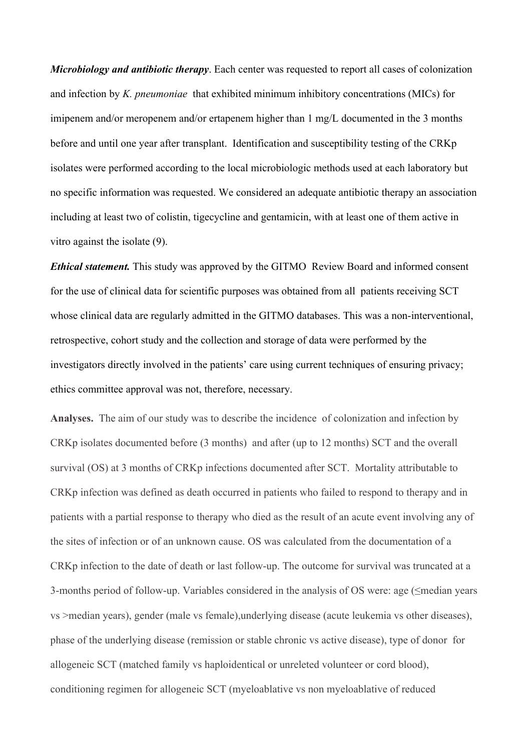*Microbiology and antibiotic therapy*. Each center was requested to report all cases of colonization and infection by *K. pneumoniae* that exhibited minimum inhibitory concentrations (MICs) for imipenem and/or meropenem and/or ertapenem higher than 1 mg/L documented in the 3 months before and until one year after transplant. Identification and susceptibility testing of the CRKp isolates were performed according to the local microbiologic methods used at each laboratory but no specific information was requested. We considered an adequate antibiotic therapy an association including at least two of colistin, tigecycline and gentamicin, with at least one of them active in vitro against the isolate (9).

*Ethical statement.* This study was approved by the GITMO Review Board and informed consent for the use of clinical data for scientific purposes was obtained from all patients receiving SCT whose clinical data are regularly admitted in the GITMO databases. This was a non-interventional, retrospective, cohort study and the collection and storage of data were performed by the investigators directly involved in the patients' care using current techniques of ensuring privacy; ethics committee approval was not, therefore, necessary.

**Analyses.** The aim of our study was to describe the incidence of colonization and infection by CRKp isolates documented before (3 months) and after (up to 12 months) SCT and the overall survival (OS) at 3 months of CRKp infections documented after SCT. Mortality attributable to CRKp infection was defined as death occurred in patients who failed to respond to therapy and in patients with a partial response to therapy who died as the result of an acute event involving any of the sites of infection or of an unknown cause. OS was calculated from the documentation of a CRKp infection to the date of death or last follow-up. The outcome for survival was truncated at a 3-months period of follow-up. Variables considered in the analysis of OS were: age (≤median years vs >median years), gender (male vs female),underlying disease (acute leukemia vs other diseases), phase of the underlying disease (remission or stable chronic vs active disease), type of donor for allogeneic SCT (matched family vs haploidentical or unreleted volunteer or cord blood), conditioning regimen for allogeneic SCT (myeloablative vs non myeloablative of reduced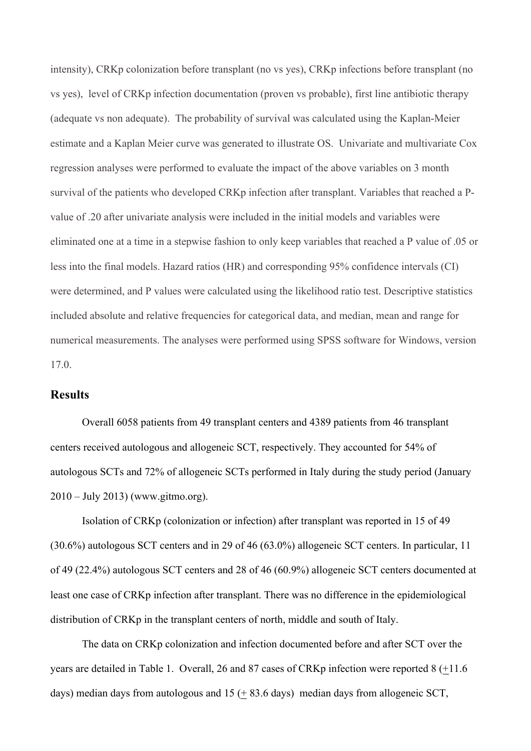intensity), CRKp colonization before transplant (no vs yes), CRKp infections before transplant (no vs yes), level of CRKp infection documentation (proven vs probable), first line antibiotic therapy (adequate vs non adequate). The probability of survival was calculated using the Kaplan-Meier estimate and a Kaplan Meier curve was generated to illustrate OS. Univariate and multivariate Cox regression analyses were performed to evaluate the impact of the above variables on 3 month survival of the patients who developed CRKp infection after transplant. Variables that reached a Pvalue of .20 after univariate analysis were included in the initial models and variables were eliminated one at a time in a stepwise fashion to only keep variables that reached a P value of .05 or less into the final models. Hazard ratios (HR) and corresponding 95% confidence intervals (CI) were determined, and P values were calculated using the likelihood ratio test. Descriptive statistics included absolute and relative frequencies for categorical data, and median, mean and range for numerical measurements. The analyses were performed using SPSS software for Windows, version 17.0.

#### **Results**

Overall 6058 patients from 49 transplant centers and 4389 patients from 46 transplant centers received autologous and allogeneic SCT, respectively. They accounted for 54% of autologous SCTs and 72% of allogeneic SCTs performed in Italy during the study period (January 2010 – July 2013) (www.gitmo.org).

Isolation of CRKp (colonization or infection) after transplant was reported in 15 of 49 (30.6%) autologous SCT centers and in 29 of 46 (63.0%) allogeneic SCT centers. In particular, 11 of 49 (22.4%) autologous SCT centers and 28 of 46 (60.9%) allogeneic SCT centers documented at least one case of CRKp infection after transplant. There was no difference in the epidemiological distribution of CRKp in the transplant centers of north, middle and south of Italy.

The data on CRKp colonization and infection documented before and after SCT over the years are detailed in Table 1. Overall, 26 and 87 cases of CRKp infection were reported 8 (+11.6 days) median days from autologous and  $15 (+ 83.6 \text{ days})$  median days from allogeneic SCT,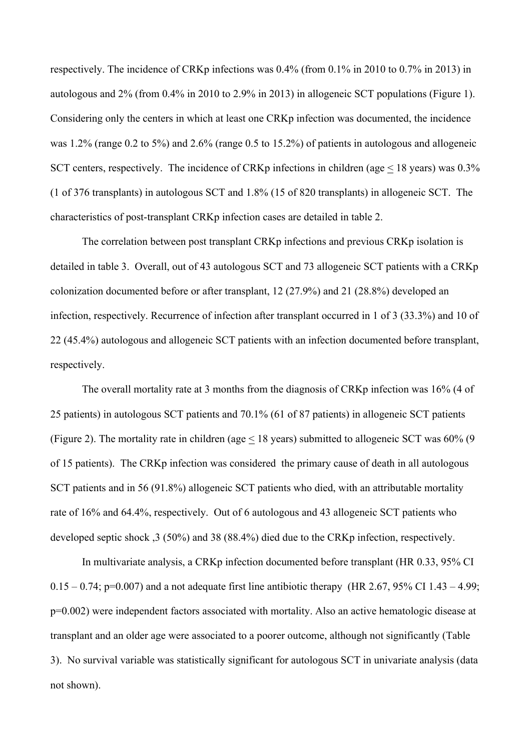respectively. The incidence of CRKp infections was 0.4% (from 0.1% in 2010 to 0.7% in 2013) in autologous and 2% (from 0.4% in 2010 to 2.9% in 2013) in allogeneic SCT populations (Figure 1). Considering only the centers in which at least one CRKp infection was documented, the incidence was 1.2% (range 0.2 to 5%) and 2.6% (range 0.5 to 15.2%) of patients in autologous and allogeneic SCT centers, respectively. The incidence of CRKp infections in children (age < 18 years) was 0.3% (1 of 376 transplants) in autologous SCT and 1.8% (15 of 820 transplants) in allogeneic SCT. The characteristics of post-transplant CRKp infection cases are detailed in table 2.

The correlation between post transplant CRKp infections and previous CRKp isolation is detailed in table 3. Overall, out of 43 autologous SCT and 73 allogeneic SCT patients with a CRKp colonization documented before or after transplant, 12 (27.9%) and 21 (28.8%) developed an infection, respectively. Recurrence of infection after transplant occurred in 1 of 3 (33.3%) and 10 of 22 (45.4%) autologous and allogeneic SCT patients with an infection documented before transplant, respectively.

The overall mortality rate at 3 months from the diagnosis of CRKp infection was 16% (4 of 25 patients) in autologous SCT patients and 70.1% (61 of 87 patients) in allogeneic SCT patients (Figure 2). The mortality rate in children (age < 18 years) submitted to allogeneic SCT was 60% (9 of 15 patients). The CRKp infection was considered the primary cause of death in all autologous SCT patients and in 56 (91.8%) allogeneic SCT patients who died, with an attributable mortality rate of 16% and 64.4%, respectively. Out of 6 autologous and 43 allogeneic SCT patients who developed septic shock ,3 (50%) and 38 (88.4%) died due to the CRKp infection, respectively.

In multivariate analysis, a CRKp infection documented before transplant (HR 0.33, 95% CI  $0.15 - 0.74$ ; p=0.007) and a not adequate first line antibiotic therapy (HR 2.67, 95% CI 1.43 – 4.99; p=0.002) were independent factors associated with mortality. Also an active hematologic disease at transplant and an older age were associated to a poorer outcome, although not significantly (Table 3). No survival variable was statistically significant for autologous SCT in univariate analysis (data not shown).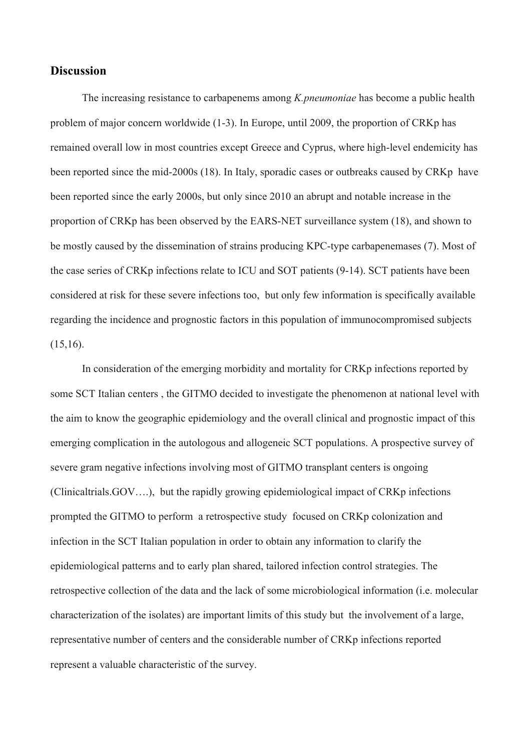### **Discussion**

The increasing resistance to carbapenems among *K.pneumoniae* has become a public health problem of major concern worldwide (1-3). In Europe, until 2009, the proportion of CRKp has remained overall low in most countries except Greece and Cyprus, where high-level endemicity has been reported since the mid-2000s (18). In Italy, sporadic cases or outbreaks caused by CRKp have been reported since the early 2000s, but only since 2010 an abrupt and notable increase in the proportion of CRKp has been observed by the EARS-NET surveillance system (18), and shown to be mostly caused by the dissemination of strains producing KPC-type carbapenemases (7). Most of the case series of CRKp infections relate to ICU and SOT patients (9-14). SCT patients have been considered at risk for these severe infections too, but only few information is specifically available regarding the incidence and prognostic factors in this population of immunocompromised subjects  $(15,16)$ .

In consideration of the emerging morbidity and mortality for CRKp infections reported by some SCT Italian centers , the GITMO decided to investigate the phenomenon at national level with the aim to know the geographic epidemiology and the overall clinical and prognostic impact of this emerging complication in the autologous and allogeneic SCT populations. A prospective survey of severe gram negative infections involving most of GITMO transplant centers is ongoing (Clinicaltrials.GOV….), but the rapidly growing epidemiological impact of CRKp infections prompted the GITMO to perform a retrospective study focused on CRKp colonization and infection in the SCT Italian population in order to obtain any information to clarify the epidemiological patterns and to early plan shared, tailored infection control strategies. The retrospective collection of the data and the lack of some microbiological information (i.e. molecular characterization of the isolates) are important limits of this study but the involvement of a large, representative number of centers and the considerable number of CRKp infections reported represent a valuable characteristic of the survey.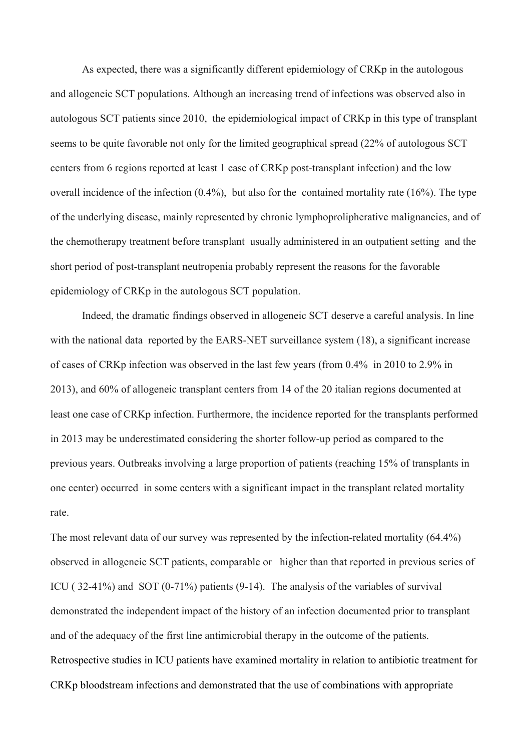As expected, there was a significantly different epidemiology of CRKp in the autologous and allogeneic SCT populations. Although an increasing trend of infections was observed also in autologous SCT patients since 2010, the epidemiological impact of CRKp in this type of transplant seems to be quite favorable not only for the limited geographical spread (22% of autologous SCT centers from 6 regions reported at least 1 case of CRKp post-transplant infection) and the low overall incidence of the infection  $(0.4\%)$ , but also for the contained mortality rate  $(16\%)$ . The type of the underlying disease, mainly represented by chronic lymphoprolipherative malignancies, and of the chemotherapy treatment before transplant usually administered in an outpatient setting and the short period of post-transplant neutropenia probably represent the reasons for the favorable epidemiology of CRKp in the autologous SCT population.

Indeed, the dramatic findings observed in allogeneic SCT deserve a careful analysis. In line with the national data reported by the EARS-NET surveillance system (18), a significant increase of cases of CRKp infection was observed in the last few years (from 0.4% in 2010 to 2.9% in 2013), and 60% of allogeneic transplant centers from 14 of the 20 italian regions documented at least one case of CRKp infection. Furthermore, the incidence reported for the transplants performed in 2013 may be underestimated considering the shorter follow-up period as compared to the previous years. Outbreaks involving a large proportion of patients (reaching 15% of transplants in one center) occurred in some centers with a significant impact in the transplant related mortality rate.

The most relevant data of our survey was represented by the infection-related mortality (64.4%) observed in allogeneic SCT patients, comparable or higher than that reported in previous series of ICU ( 32-41%) and SOT (0-71%) patients (9-14). The analysis of the variables of survival demonstrated the independent impact of the history of an infection documented prior to transplant and of the adequacy of the first line antimicrobial therapy in the outcome of the patients. Retrospective studies in ICU patients have examined mortality in relation to antibiotic treatment for CRKp bloodstream infections and demonstrated that the use of combinations with appropriate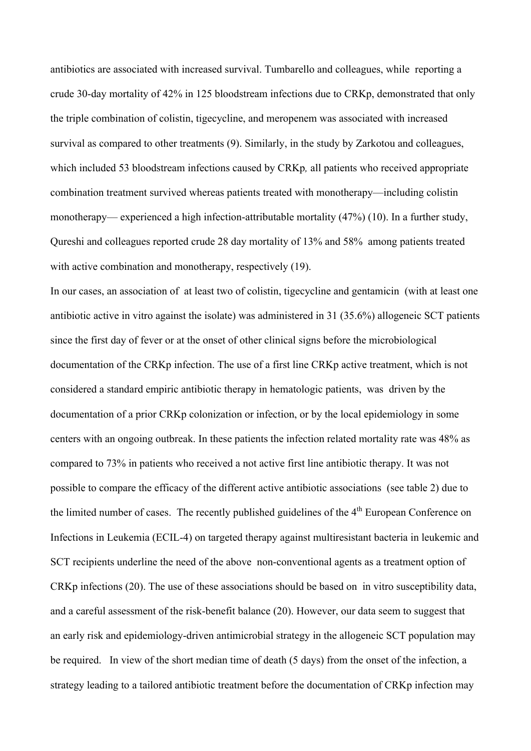antibiotics are associated with increased survival. Tumbarello and colleagues, while reporting a crude 30-day mortality of 42% in 125 bloodstream infections due to CRKp, demonstrated that only the triple combination of colistin, tigecycline, and meropenem was associated with increased survival as compared to other treatments (9). Similarly, in the study by Zarkotou and colleagues, which included 53 bloodstream infections caused by CRKp*,* all patients who received appropriate combination treatment survived whereas patients treated with monotherapy—including colistin monotherapy— experienced a high infection-attributable mortality (47%) (10). In a further study, Qureshi and colleagues reported crude 28 day mortality of 13% and 58% among patients treated with active combination and monotherapy, respectively (19).

In our cases, an association of at least two of colistin, tigecycline and gentamicin (with at least one antibiotic active in vitro against the isolate) was administered in 31 (35.6%) allogeneic SCT patients since the first day of fever or at the onset of other clinical signs before the microbiological documentation of the CRKp infection. The use of a first line CRKp active treatment, which is not considered a standard empiric antibiotic therapy in hematologic patients, was driven by the documentation of a prior CRKp colonization or infection, or by the local epidemiology in some centers with an ongoing outbreak. In these patients the infection related mortality rate was 48% as compared to 73% in patients who received a not active first line antibiotic therapy. It was not possible to compare the efficacy of the different active antibiotic associations (see table 2) due to the limited number of cases. The recently published guidelines of the  $4<sup>th</sup>$  European Conference on Infections in Leukemia (ECIL-4) on targeted therapy against multiresistant bacteria in leukemic and SCT recipients underline the need of the above non-conventional agents as a treatment option of CRKp infections (20). The use of these associations should be based on in vitro susceptibility data, and a careful assessment of the risk-benefit balance (20). However, our data seem to suggest that an early risk and epidemiology-driven antimicrobial strategy in the allogeneic SCT population may be required. In view of the short median time of death (5 days) from the onset of the infection, a strategy leading to a tailored antibiotic treatment before the documentation of CRKp infection may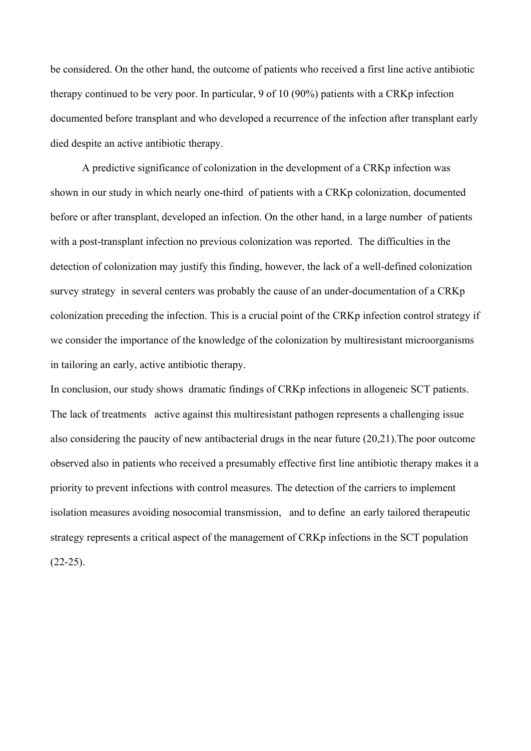be considered. On the other hand, the outcome of patients who received a first line active antibiotic therapy continued to be very poor. In particular, 9 of 10 (90%) patients with a CRKp infection documented before transplant and who developed a recurrence of the infection after transplant early died despite an active antibiotic therapy.

A predictive significance of colonization in the development of a CRKp infection was shown in our study in which nearly one-third of patients with a CRKp colonization, documented before or after transplant, developed an infection. On the other hand, in a large number of patients with a post-transplant infection no previous colonization was reported. The difficulties in the detection of colonization may justify this finding, however, the lack of a well-defined colonization survey strategy in several centers was probably the cause of an under-documentation of a CRKp colonization preceding the infection. This is a crucial point of the CRKp infection control strategy if we consider the importance of the knowledge of the colonization by multiresistant microorganisms in tailoring an early, active antibiotic therapy.

In conclusion, our study shows dramatic findings of CRKp infections in allogeneic SCT patients. The lack of treatments active against this multiresistant pathogen represents a challenging issue also considering the paucity of new antibacterial drugs in the near future (20,21).The poor outcome observed also in patients who received a presumably effective first line antibiotic therapy makes it a priority to prevent infections with control measures. The detection of the carriers to implement isolation measures avoiding nosocomial transmission, and to define an early tailored therapeutic strategy represents a critical aspect of the management of CRKp infections in the SCT population  $(22-25)$ .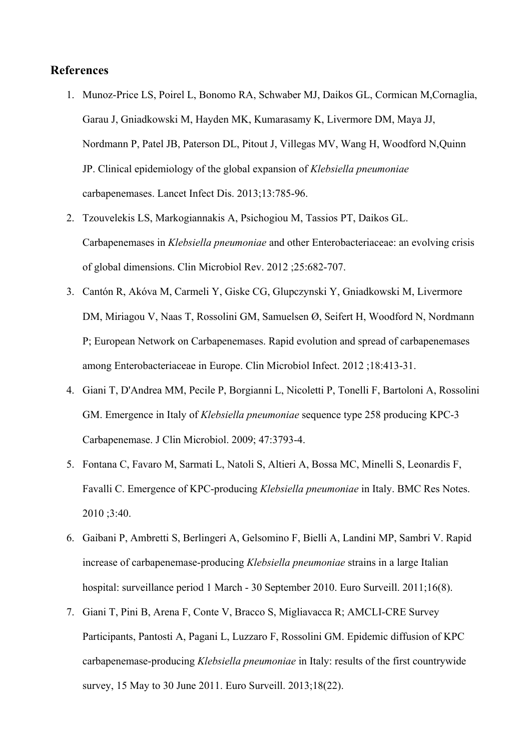# **References**

- 1. Munoz-Price LS, Poirel L, Bonomo RA, Schwaber MJ, Daikos GL, Cormican M,Cornaglia, Garau J, Gniadkowski M, Hayden MK, Kumarasamy K, Livermore DM, Maya JJ, Nordmann P, Patel JB, Paterson DL, Pitout J, Villegas MV, Wang H, Woodford N,Quinn JP. Clinical epidemiology of the global expansion of *Klebsiella pneumoniae*  carbapenemases. Lancet Infect Dis. 2013;13:785-96.
- 2. Tzouvelekis LS, Markogiannakis A, Psichogiou M, Tassios PT, Daikos GL. Carbapenemases in *Klebsiella pneumoniae* and other Enterobacteriaceae: an evolving crisis of global dimensions. Clin Microbiol Rev. 2012 ;25:682-707.
- 3. Cantón R, Akóva M, Carmeli Y, Giske CG, Glupczynski Y, Gniadkowski M, Livermore DM, Miriagou V, Naas T, Rossolini GM, Samuelsen Ø, Seifert H, Woodford N, Nordmann P; European Network on Carbapenemases. Rapid evolution and spread of carbapenemases among Enterobacteriaceae in Europe. Clin Microbiol Infect. 2012 ;18:413-31.
- 4. Giani T, D'Andrea MM, Pecile P, Borgianni L, Nicoletti P, Tonelli F, Bartoloni A, Rossolini GM. Emergence in Italy of *Klebsiella pneumoniae* sequence type 258 producing KPC-3 Carbapenemase. J Clin Microbiol. 2009; 47:3793-4.
- 5. Fontana C, Favaro M, Sarmati L, Natoli S, Altieri A, Bossa MC, Minelli S, Leonardis F, Favalli C. Emergence of KPC-producing *Klebsiella pneumoniae* in Italy. BMC Res Notes. 2010 ;3:40.
- 6. Gaibani P, Ambretti S, Berlingeri A, Gelsomino F, Bielli A, Landini MP, Sambri V. Rapid increase of carbapenemase-producing *Klebsiella pneumoniae* strains in a large Italian hospital: surveillance period 1 March - 30 September 2010. Euro Surveill. 2011;16(8).
- 7. Giani T, Pini B, Arena F, Conte V, Bracco S, Migliavacca R; AMCLI-CRE Survey Participants, Pantosti A, Pagani L, Luzzaro F, Rossolini GM. Epidemic diffusion of KPC carbapenemase-producing *Klebsiella pneumoniae* in Italy: results of the first countrywide survey, 15 May to 30 June 2011. Euro Surveill. 2013;18(22).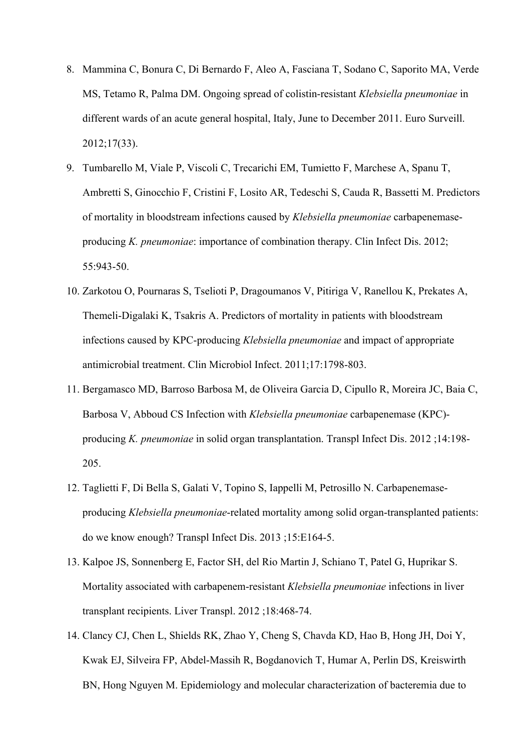- 8. Mammina C, Bonura C, Di Bernardo F, Aleo A, Fasciana T, Sodano C, Saporito MA, Verde MS, Tetamo R, Palma DM. Ongoing spread of colistin-resistant *Klebsiella pneumoniae* in different wards of an acute general hospital, Italy, June to December 2011. Euro Surveill. 2012;17(33).
- 9. Tumbarello M, Viale P, Viscoli C, Trecarichi EM, Tumietto F, Marchese A, Spanu T, Ambretti S, Ginocchio F, Cristini F, Losito AR, Tedeschi S, Cauda R, Bassetti M. Predictors of mortality in bloodstream infections caused by *Klebsiella pneumoniae* carbapenemaseproducing *K. pneumoniae*: importance of combination therapy. Clin Infect Dis. 2012; 55:943-50.
- 10. Zarkotou O, Pournaras S, Tselioti P, Dragoumanos V, Pitiriga V, Ranellou K, Prekates A, Themeli-Digalaki K, Tsakris A. Predictors of mortality in patients with bloodstream infections caused by KPC-producing *Klebsiella pneumoniae* and impact of appropriate antimicrobial treatment. Clin Microbiol Infect. 2011;17:1798-803.
- 11. Bergamasco MD, Barroso Barbosa M, de Oliveira Garcia D, Cipullo R, Moreira JC, Baia C, Barbosa V, Abboud CS Infection with *Klebsiella pneumoniae* carbapenemase (KPC) producing *K. pneumoniae* in solid organ transplantation. Transpl Infect Dis. 2012 ;14:198- 205.
- 12. Taglietti F, Di Bella S, Galati V, Topino S, Iappelli M, Petrosillo N. Carbapenemaseproducing *Klebsiella pneumoniae*-related mortality among solid organ-transplanted patients: do we know enough? Transpl Infect Dis. 2013 ;15:E164-5.
- 13. Kalpoe JS, Sonnenberg E, Factor SH, del Rio Martin J, Schiano T, Patel G, Huprikar S. Mortality associated with carbapenem-resistant *Klebsiella pneumoniae* infections in liver transplant recipients. Liver Transpl. 2012 ;18:468-74.
- 14. Clancy CJ, Chen L, Shields RK, Zhao Y, Cheng S, Chavda KD, Hao B, Hong JH, Doi Y, Kwak EJ, Silveira FP, Abdel-Massih R, Bogdanovich T, Humar A, Perlin DS, Kreiswirth BN, Hong Nguyen M. Epidemiology and molecular characterization of bacteremia due to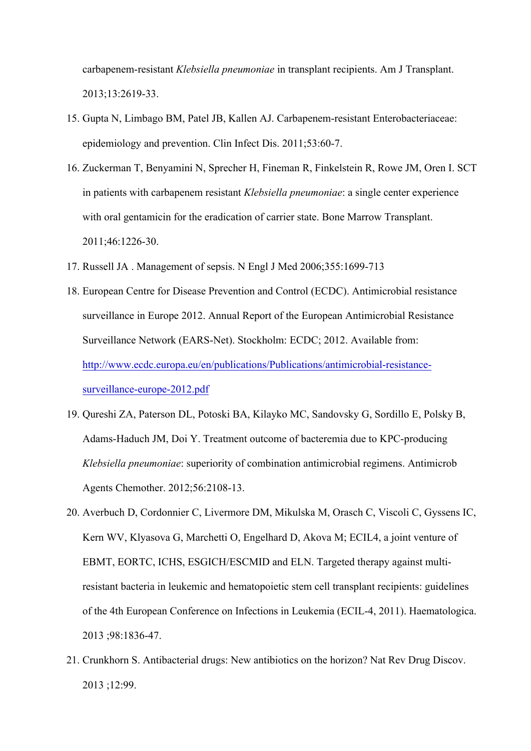carbapenem-resistant *Klebsiella pneumoniae* in transplant recipients. Am J Transplant. 2013;13:2619-33.

- 15. Gupta N, Limbago BM, Patel JB, Kallen AJ. Carbapenem-resistant Enterobacteriaceae: epidemiology and prevention. Clin Infect Dis. 2011;53:60-7.
- 16. Zuckerman T, Benyamini N, Sprecher H, Fineman R, Finkelstein R, Rowe JM, Oren I. SCT in patients with carbapenem resistant *Klebsiella pneumoniae*: a single center experience with oral gentamicin for the eradication of carrier state. Bone Marrow Transplant. 2011;46:1226-30.
- 17. Russell JA . Management of sepsis. N Engl J Med 2006;355:1699-713
- 18. European Centre for Disease Prevention and Control (ECDC). Antimicrobial resistance surveillance in Europe 2012. Annual Report of the European Antimicrobial Resistance Surveillance Network (EARS-Net). Stockholm: ECDC; 2012. Available from: http://www.ecdc.europa.eu/en/publications/Publications/antimicrobial-resistancesurveillance-europe-2012.pdf
- 19. Qureshi ZA, Paterson DL, Potoski BA, Kilayko MC, Sandovsky G, Sordillo E, Polsky B, Adams-Haduch JM, Doi Y. Treatment outcome of bacteremia due to KPC-producing *Klebsiella pneumoniae*: superiority of combination antimicrobial regimens. Antimicrob Agents Chemother. 2012;56:2108-13.
- 20. Averbuch D, Cordonnier C, Livermore DM, Mikulska M, Orasch C, Viscoli C, Gyssens IC, Kern WV, Klyasova G, Marchetti O, Engelhard D, Akova M; ECIL4, a joint venture of EBMT, EORTC, ICHS, ESGICH/ESCMID and ELN. Targeted therapy against multiresistant bacteria in leukemic and hematopoietic stem cell transplant recipients: guidelines of the 4th European Conference on Infections in Leukemia (ECIL-4, 2011). Haematologica. 2013 ;98:1836-47.
- 21. Crunkhorn S. Antibacterial drugs: New antibiotics on the horizon? Nat Rev Drug Discov. 2013 ;12:99.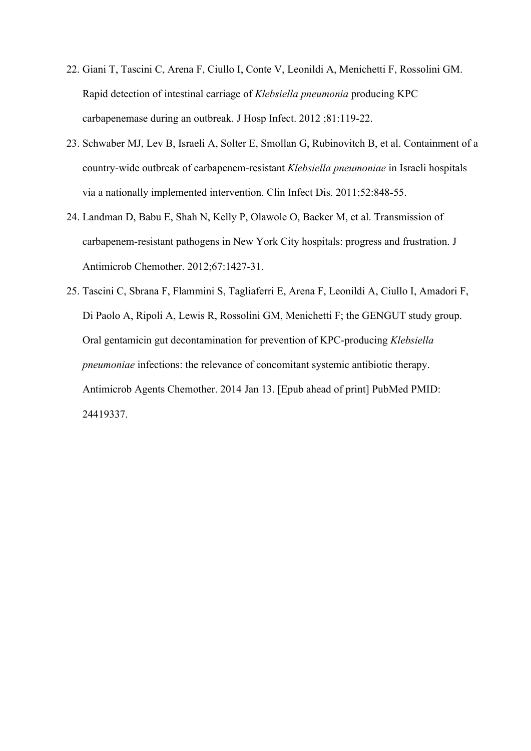- 22. Giani T, Tascini C, Arena F, Ciullo I, Conte V, Leonildi A, Menichetti F, Rossolini GM. Rapid detection of intestinal carriage of *Klebsiella pneumonia* producing KPC carbapenemase during an outbreak. J Hosp Infect. 2012 ;81:119-22.
- 23. Schwaber MJ, Lev B, Israeli A, Solter E, Smollan G, Rubinovitch B, et al. Containment of a country-wide outbreak of carbapenem-resistant *Klebsiella pneumoniae* in Israeli hospitals via a nationally implemented intervention. Clin Infect Dis. 2011;52:848-55.
- 24. Landman D, Babu E, Shah N, Kelly P, Olawole O, Backer M, et al. Transmission of carbapenem-resistant pathogens in New York City hospitals: progress and frustration. J Antimicrob Chemother. 2012;67:1427-31.
- 25. Tascini C, Sbrana F, Flammini S, Tagliaferri E, Arena F, Leonildi A, Ciullo I, Amadori F, Di Paolo A, Ripoli A, Lewis R, Rossolini GM, Menichetti F; the GENGUT study group. Oral gentamicin gut decontamination for prevention of KPC-producing *Klebsiella pneumoniae* infections: the relevance of concomitant systemic antibiotic therapy. Antimicrob Agents Chemother. 2014 Jan 13. [Epub ahead of print] PubMed PMID: 24419337.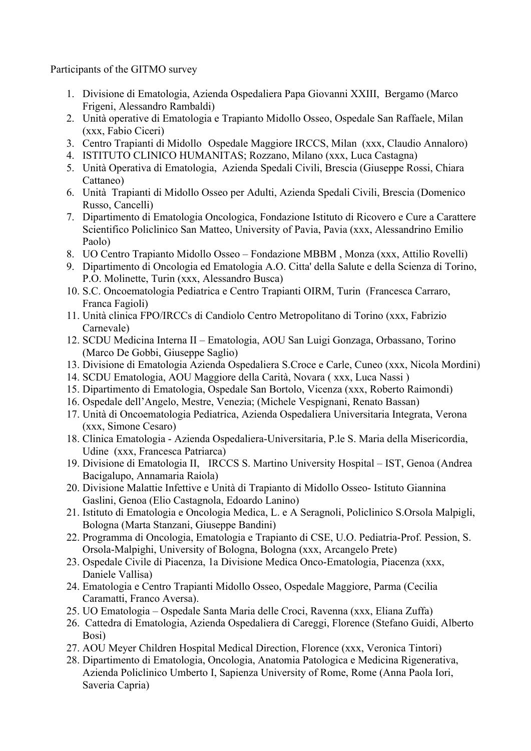Participants of the GITMO survey

- 1. Divisione di Ematologia, Azienda Ospedaliera Papa Giovanni XXIII, Bergamo (Marco Frigeni, Alessandro Rambaldi)
- 2. Unità operative di Ematologia e Trapianto Midollo Osseo, Ospedale San Raffaele, Milan (xxx, Fabio Ciceri)
- 3. Centro Trapianti di Midollo Ospedale Maggiore IRCCS, Milan (xxx, Claudio Annaloro)
- 4. ISTITUTO CLINICO HUMANITAS; Rozzano, Milano (xxx, Luca Castagna)
- 5. Unità Operativa di Ematologia, Azienda Spedali Civili, Brescia (Giuseppe Rossi, Chiara Cattaneo)
- 6. Unità Trapianti di Midollo Osseo per Adulti, Azienda Spedali Civili, Brescia (Domenico Russo, Cancelli)
- 7. Dipartimento di Ematologia Oncologica, Fondazione Istituto di Ricovero e Cure a Carattere Scientifico Policlinico San Matteo, University of Pavia, Pavia (xxx, Alessandrino Emilio Paolo)
- 8. UO Centro Trapianto Midollo Osseo Fondazione MBBM , Monza (xxx, Attilio Rovelli)
- 9. Dipartimento di Oncologia ed Ematologia A.O. Citta' della Salute e della Scienza di Torino, P.O. Molinette, Turin (xxx, Alessandro Busca)
- 10. S.C. Oncoematologia Pediatrica e Centro Trapianti OIRM, Turin (Francesca Carraro, Franca Fagioli)
- 11. Unità clinica FPO/IRCCs di Candiolo Centro Metropolitano di Torino (xxx, Fabrizio Carnevale)
- 12. SCDU Medicina Interna II Ematologia, AOU San Luigi Gonzaga, Orbassano, Torino (Marco De Gobbi, Giuseppe Saglio)
- 13. Divisione di Ematologia Azienda Ospedaliera S.Croce e Carle, Cuneo (xxx, Nicola Mordini)
- 14. SCDU Ematologia, AOU Maggiore della Carità, Novara ( xxx, Luca Nassi )
- 15. Dipartimento di Ematologia, Ospedale San Bortolo, Vicenza (xxx, Roberto Raimondi)
- 16. Ospedale dell'Angelo, Mestre, Venezia; (Michele Vespignani, Renato Bassan)
- 17. Unità di Oncoematologia Pediatrica, Azienda Ospedaliera Universitaria Integrata, Verona (xxx, Simone Cesaro)
- 18. Clinica Ematologia Azienda Ospedaliera-Universitaria, P.le S. Maria della Misericordia, Udine (xxx, Francesca Patriarca)
- 19. Divisione di Ematologia II, IRCCS S. Martino University Hospital IST, Genoa (Andrea Bacigalupo, Annamaria Raiola)
- 20. Divisione Malattie Infettive e Unità di Trapianto di Midollo Osseo- Istituto Giannina Gaslini, Genoa (Elio Castagnola, Edoardo Lanino)
- 21. Istituto di Ematologia e Oncologia Medica, L. e A Seragnoli, Policlinico S.Orsola Malpigli, Bologna (Marta Stanzani, Giuseppe Bandini)
- 22. Programma di Oncologia, Ematologia e Trapianto di CSE, U.O. Pediatria-Prof. Pession, S. Orsola-Malpighi, University of Bologna, Bologna (xxx, Arcangelo Prete)
- 23. Ospedale Civile di Piacenza, 1a Divisione Medica Onco-Ematologia, Piacenza (xxx, Daniele Vallisa)
- 24. Ematologia e Centro Trapianti Midollo Osseo, Ospedale Maggiore, Parma (Cecilia Caramatti, Franco Aversa).
- 25. UO Ematologia Ospedale Santa Maria delle Croci, Ravenna (xxx, Eliana Zuffa)
- 26. Cattedra di Ematologia, Azienda Ospedaliera di Careggi, Florence (Stefano Guidi, Alberto Bosi)
- 27. AOU Meyer Children Hospital Medical Direction, Florence (xxx, Veronica Tintori)
- 28. Dipartimento di Ematologia, Oncologia, Anatomia Patologica e Medicina Rigenerativa, Azienda Policlinico Umberto I, Sapienza University of Rome, Rome (Anna Paola Iori, Saveria Capria)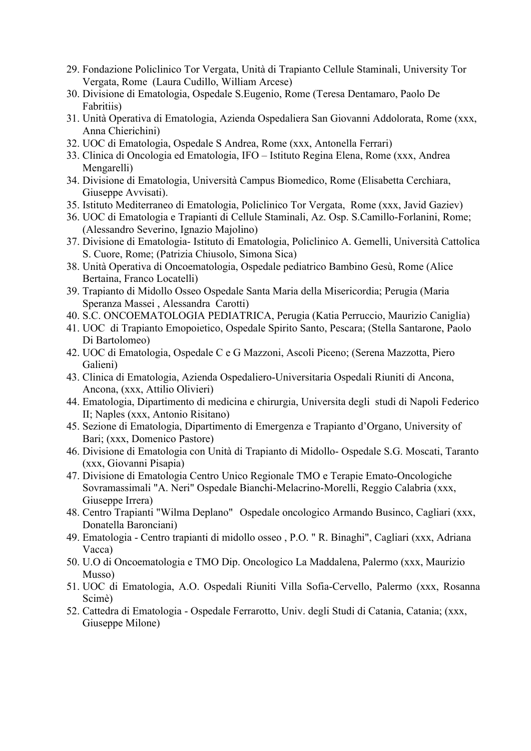- 29. Fondazione Policlinico Tor Vergata, Unità di Trapianto Cellule Staminali, University Tor Vergata, Rome (Laura Cudillo, William Arcese)
- 30. Divisione di Ematologia, Ospedale S.Eugenio, Rome (Teresa Dentamaro, Paolo De Fabritiis)
- 31. Unità Operativa di Ematologia, Azienda Ospedaliera San Giovanni Addolorata, Rome (xxx, Anna Chierichini)
- 32. UOC di Ematologia, Ospedale S Andrea, Rome (xxx, Antonella Ferrari)
- 33. Clinica di Oncologia ed Ematologia, IFO Istituto Regina Elena, Rome (xxx, Andrea Mengarelli)
- 34. Divisione di Ematologia, Università Campus Biomedico, Rome (Elisabetta Cerchiara, Giuseppe Avvisati).
- 35. Istituto Mediterraneo di Ematologia, Policlinico Tor Vergata, Rome (xxx, Javid Gaziev)
- 36. UOC di Ematologia e Trapianti di Cellule Staminali, Az. Osp. S.Camillo-Forlanini, Rome; (Alessandro Severino, Ignazio Majolino)
- 37. Divisione di Ematologia- Istituto di Ematologia, Policlinico A. Gemelli, Università Cattolica S. Cuore, Rome; (Patrizia Chiusolo, Simona Sica)
- 38. Unità Operativa di Oncoematologia, Ospedale pediatrico Bambino Gesù, Rome (Alice Bertaina, Franco Locatelli)
- 39. Trapianto di Midollo Osseo Ospedale Santa Maria della Misericordia; Perugia (Maria Speranza Massei , Alessandra Carotti)
- 40. S.C. ONCOEMATOLOGIA PEDIATRICA, Perugia (Katia Perruccio, Maurizio Caniglia)
- 41. UOC di Trapianto Emopoietico, Ospedale Spirito Santo, Pescara; (Stella Santarone, Paolo Di Bartolomeo)
- 42. UOC di Ematologia, Ospedale C e G Mazzoni, Ascoli Piceno; (Serena Mazzotta, Piero Galieni)
- 43. Clinica di Ematologia, Azienda Ospedaliero-Universitaria Ospedali Riuniti di Ancona, Ancona, (xxx, Attilio Olivieri)
- 44. Ematologia, Dipartimento di medicina e chirurgia, Universita degli studi di Napoli Federico II; Naples (xxx, Antonio Risitano)
- 45. Sezione di Ematologia, Dipartimento di Emergenza e Trapianto d'Organo, University of Bari; (xxx, Domenico Pastore)
- 46. Divisione di Ematologia con Unità di Trapianto di Midollo- Ospedale S.G. Moscati, Taranto (xxx, Giovanni Pisapia)
- 47. Divisione di Ematologia Centro Unico Regionale TMO e Terapie Emato-Oncologiche Sovramassimali "A. Neri" Ospedale Bianchi-Melacrino-Morelli, Reggio Calabria (xxx, Giuseppe Irrera)
- 48. Centro Trapianti "Wilma Deplano" Ospedale oncologico Armando Businco, Cagliari (xxx, Donatella Baronciani)
- 49. Ematologia Centro trapianti di midollo osseo , P.O. " R. Binaghi", Cagliari (xxx, Adriana Vacca)
- 50. U.O di Oncoematologia e TMO Dip. Oncologico La Maddalena, Palermo (xxx, Maurizio Musso)
- 51. UOC di Ematologia, A.O. Ospedali Riuniti Villa Sofia-Cervello, Palermo (xxx, Rosanna Scimè)
- 52. Cattedra di Ematologia Ospedale Ferrarotto, Univ. degli Studi di Catania, Catania; (xxx, Giuseppe Milone)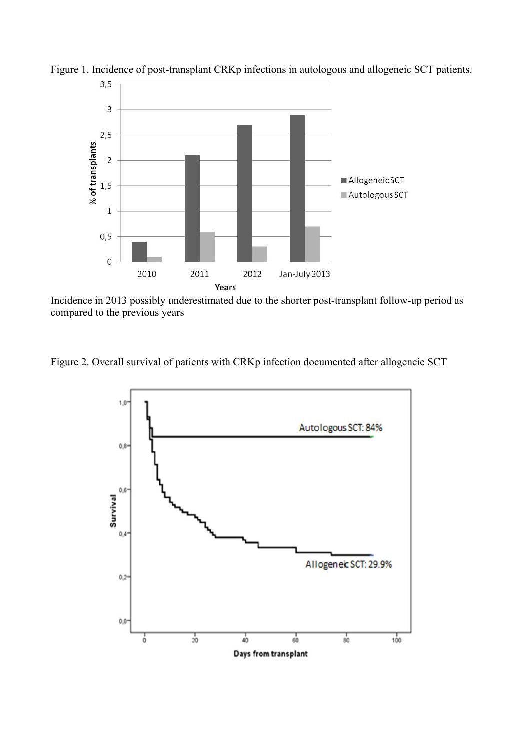

Figure 1. Incidence of post-transplant CRKp infections in autologous and allogeneic SCT patients.

Incidence in 2013 possibly underestimated due to the shorter post-transplant follow-up period as compared to the previous years

Figure 2. Overall survival of patients with CRKp infection documented after allogeneic SCT

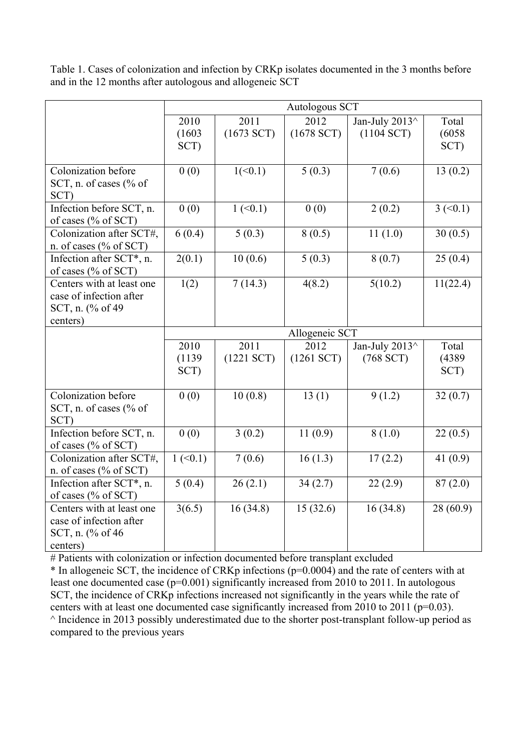|                                                                                       | Autologous SCT             |                            |                         |                                |                             |  |
|---------------------------------------------------------------------------------------|----------------------------|----------------------------|-------------------------|--------------------------------|-----------------------------|--|
|                                                                                       | 2010<br>(1603)<br>SCT)     | 2011<br>$(1673$ SCT)       | 2012<br>$(1678$ SCT)    | Jan-July 2013^<br>$(1104$ SCT) | Total<br>(6058)<br>SCT)     |  |
|                                                                                       |                            |                            |                         |                                |                             |  |
| Colonization before<br>SCT, n. of cases (% of<br>SCT)                                 | 0(0)                       | 1(<0.1)                    | 5(0.3)                  | 7(0.6)                         | 13(0.2)                     |  |
| Infection before SCT, n.<br>of cases (% of SCT)                                       | 0(0)                       | $1 \left( \le 0.1 \right)$ | 0(0)                    | 2(0.2)                         | $3 \left( \leq 0.1 \right)$ |  |
| Colonization after SCT#,<br>n. of cases (% of SCT)                                    | 6(0.4)                     | 5(0.3)                     | 8(0.5)                  | 11(1.0)                        | 30(0.5)                     |  |
| Infection after SCT*, n.<br>of cases (% of SCT)                                       | 2(0.1)                     | 10(0.6)                    | 5(0.3)                  | 8(0.7)                         | 25(0.4)                     |  |
| Centers with at least one<br>case of infection after<br>SCT, n. (% of 49)<br>centers) | 1(2)                       | 7(14.3)                    | 4(8.2)                  | 5(10.2)                        | 11(22.4)                    |  |
|                                                                                       | Allogeneic SCT             |                            |                         |                                |                             |  |
|                                                                                       | 2010<br>(1139)<br>SCT)     | 2011<br>$(1221$ SCT)       | 2012<br>$(1261$ SCT $)$ | Jan-July 2013^<br>$(768$ SCT)  | Total<br>(4389)<br>SCT)     |  |
| Colonization before<br>SCT, n. of cases (% of<br>SCT)                                 | 0(0)                       | 10(0.8)                    | 13(1)                   | 9(1.2)                         | 32(0.7)                     |  |
| Infection before SCT, n.<br>of cases (% of SCT)                                       | 0(0)                       | 3(0.2)                     | 11(0.9)                 | 8(1.0)                         | 22(0.5)                     |  |
| Colonization after SCT#,<br>n. of cases $(\%$ of SCT)                                 | $1 \left( \le 0.1 \right)$ | 7(0.6)                     | 16(1.3)                 | 17(2.2)                        | 41 $(0.9)$                  |  |
| Infection after SCT*, n.<br>of cases (% of SCT)                                       | 5(0.4)                     | 26(2.1)                    | 34(2.7)                 | 22(2.9)                        | 87(2.0)                     |  |
| Centers with at least one<br>case of infection after<br>SCT, n. (% of 46<br>centers)  | 3(6.5)                     | 16(34.8)                   | 15(32.6)                | 16(34.8)                       | 28(60.9)                    |  |

Table 1. Cases of colonization and infection by CRKp isolates documented in the 3 months before and in the 12 months after autologous and allogeneic SCT

# Patients with colonization or infection documented before transplant excluded

\* In allogeneic SCT, the incidence of CRKp infections (p=0.0004) and the rate of centers with at least one documented case (p=0.001) significantly increased from 2010 to 2011. In autologous SCT, the incidence of CRKp infections increased not significantly in the years while the rate of centers with at least one documented case significantly increased from 2010 to 2011 (p=0.03).  $\land$  Incidence in 2013 possibly underestimated due to the shorter post-transplant follow-up period as compared to the previous years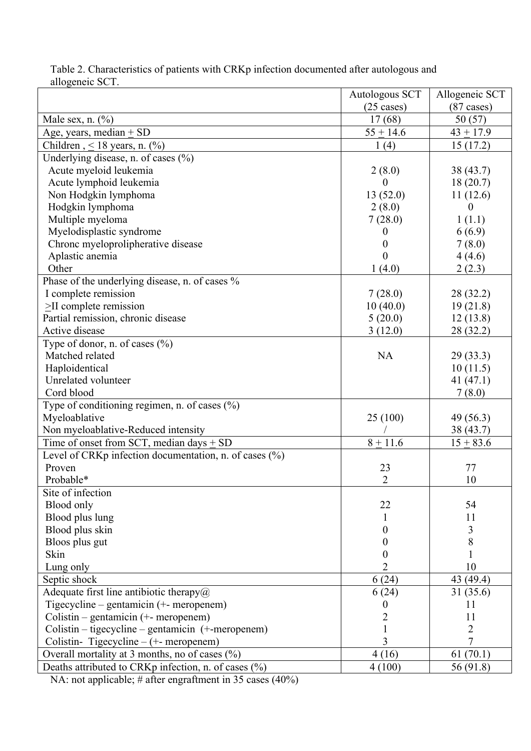| $(87 \text{ cases})$<br>$(25 \text{ cases})$<br>Male sex, n. $(\%)$<br>17(68)<br>50(57)<br>Age, years, median $\pm$ SD<br>$55 + 14.6$<br>$43 + 17.9$<br>Children, $\leq$ 18 years, n. (%)<br>1(4)<br>15(17.2)<br>Underlying disease, n. of cases $(\% )$<br>Acute myeloid leukemia<br>2(8.0)<br>38 (43.7)<br>Acute lymphoid leukemia<br>18(20.7)<br>$\theta$<br>Non Hodgkin lymphoma<br>13(52.0)<br>11(12.6)<br>Hodgkin lymphoma<br>2(8.0)<br>0<br>Multiple myeloma<br>7(28.0)<br>1(1.1)<br>Myelodisplastic syndrome<br>6(6.9)<br>0<br>Chronc myeloprolipherative disease<br>7(8.0)<br>0<br>Aplastic anemia<br>4(4.6)<br>0<br>Other<br>1(4.0)<br>2(2.3)<br>Phase of the underlying disease, n. of cases %<br>I complete remission<br>7(28.0)<br>28 (32.2)<br>$\geq$ II complete remission<br>10(40.0)<br>19(21.8)<br>Partial remission, chronic disease<br>5(20.0)<br>12(13.8)<br>Active disease<br>3(12.0)<br>28 (32.2)<br>Type of donor, n. of cases $(\%$ )<br>Matched related<br><b>NA</b><br>29(33.3)<br>Haploidentical<br>10(11.5)<br>Unrelated volunteer<br>41 $(47.1)$<br>Cord blood<br>7(8.0)<br>Type of conditioning regimen, n. of cases (%)<br>25(100)<br>Myeloablative<br>49 (56.3)<br>Non myeloablative-Reduced intensity<br>38 (43.7)<br>Time of onset from SCT, median days $\pm$ SD<br>$8 + 11.6$<br>$15 + 83.6$<br>Level of CRKp infection documentation, n. of cases (%)<br>Proven<br>23<br>77<br>$\overline{2}$<br>Probable*<br>10<br>Site of infection<br>22<br>Blood only<br>54<br>Blood plus lung<br>11<br>Blood plus skin<br>3<br>0<br>8<br>Bloos plus gut<br>0<br>Skin<br>$\theta$<br>Lung only<br>2<br>10<br>6(24)<br>43 (49.4)<br>Septic shock<br>Adequate first line antibiotic therapy $\omega$<br>6(24)<br>31 (35.6)<br>Tigecycline – gentamicin (+- meropenem)<br>11<br>$\boldsymbol{0}$<br>Colistin – gentamicin (+- meropenem)<br>$\overline{c}$<br>11<br>Colistin – tigecycline – gentamicin (+-meropenem)<br>$\overline{2}$<br>1<br>3<br>Colistin-Tigecycline – (+- meropenem)<br>7<br>Overall mortality at 3 months, no of cases (%)<br>61(70.1)<br>4(16) |                                                      | Autologous SCT | Allogeneic SCT |
|-----------------------------------------------------------------------------------------------------------------------------------------------------------------------------------------------------------------------------------------------------------------------------------------------------------------------------------------------------------------------------------------------------------------------------------------------------------------------------------------------------------------------------------------------------------------------------------------------------------------------------------------------------------------------------------------------------------------------------------------------------------------------------------------------------------------------------------------------------------------------------------------------------------------------------------------------------------------------------------------------------------------------------------------------------------------------------------------------------------------------------------------------------------------------------------------------------------------------------------------------------------------------------------------------------------------------------------------------------------------------------------------------------------------------------------------------------------------------------------------------------------------------------------------------------------------------------------------------------------------------------------------------------------------------------------------------------------------------------------------------------------------------------------------------------------------------------------------------------------------------------------------------------------------------------------------------------------------------------------------------------------------------------------------------------------------------------------------------|------------------------------------------------------|----------------|----------------|
|                                                                                                                                                                                                                                                                                                                                                                                                                                                                                                                                                                                                                                                                                                                                                                                                                                                                                                                                                                                                                                                                                                                                                                                                                                                                                                                                                                                                                                                                                                                                                                                                                                                                                                                                                                                                                                                                                                                                                                                                                                                                                               |                                                      |                |                |
|                                                                                                                                                                                                                                                                                                                                                                                                                                                                                                                                                                                                                                                                                                                                                                                                                                                                                                                                                                                                                                                                                                                                                                                                                                                                                                                                                                                                                                                                                                                                                                                                                                                                                                                                                                                                                                                                                                                                                                                                                                                                                               |                                                      |                |                |
|                                                                                                                                                                                                                                                                                                                                                                                                                                                                                                                                                                                                                                                                                                                                                                                                                                                                                                                                                                                                                                                                                                                                                                                                                                                                                                                                                                                                                                                                                                                                                                                                                                                                                                                                                                                                                                                                                                                                                                                                                                                                                               |                                                      |                |                |
|                                                                                                                                                                                                                                                                                                                                                                                                                                                                                                                                                                                                                                                                                                                                                                                                                                                                                                                                                                                                                                                                                                                                                                                                                                                                                                                                                                                                                                                                                                                                                                                                                                                                                                                                                                                                                                                                                                                                                                                                                                                                                               |                                                      |                |                |
|                                                                                                                                                                                                                                                                                                                                                                                                                                                                                                                                                                                                                                                                                                                                                                                                                                                                                                                                                                                                                                                                                                                                                                                                                                                                                                                                                                                                                                                                                                                                                                                                                                                                                                                                                                                                                                                                                                                                                                                                                                                                                               |                                                      |                |                |
|                                                                                                                                                                                                                                                                                                                                                                                                                                                                                                                                                                                                                                                                                                                                                                                                                                                                                                                                                                                                                                                                                                                                                                                                                                                                                                                                                                                                                                                                                                                                                                                                                                                                                                                                                                                                                                                                                                                                                                                                                                                                                               |                                                      |                |                |
|                                                                                                                                                                                                                                                                                                                                                                                                                                                                                                                                                                                                                                                                                                                                                                                                                                                                                                                                                                                                                                                                                                                                                                                                                                                                                                                                                                                                                                                                                                                                                                                                                                                                                                                                                                                                                                                                                                                                                                                                                                                                                               |                                                      |                |                |
|                                                                                                                                                                                                                                                                                                                                                                                                                                                                                                                                                                                                                                                                                                                                                                                                                                                                                                                                                                                                                                                                                                                                                                                                                                                                                                                                                                                                                                                                                                                                                                                                                                                                                                                                                                                                                                                                                                                                                                                                                                                                                               |                                                      |                |                |
|                                                                                                                                                                                                                                                                                                                                                                                                                                                                                                                                                                                                                                                                                                                                                                                                                                                                                                                                                                                                                                                                                                                                                                                                                                                                                                                                                                                                                                                                                                                                                                                                                                                                                                                                                                                                                                                                                                                                                                                                                                                                                               |                                                      |                |                |
|                                                                                                                                                                                                                                                                                                                                                                                                                                                                                                                                                                                                                                                                                                                                                                                                                                                                                                                                                                                                                                                                                                                                                                                                                                                                                                                                                                                                                                                                                                                                                                                                                                                                                                                                                                                                                                                                                                                                                                                                                                                                                               |                                                      |                |                |
|                                                                                                                                                                                                                                                                                                                                                                                                                                                                                                                                                                                                                                                                                                                                                                                                                                                                                                                                                                                                                                                                                                                                                                                                                                                                                                                                                                                                                                                                                                                                                                                                                                                                                                                                                                                                                                                                                                                                                                                                                                                                                               |                                                      |                |                |
|                                                                                                                                                                                                                                                                                                                                                                                                                                                                                                                                                                                                                                                                                                                                                                                                                                                                                                                                                                                                                                                                                                                                                                                                                                                                                                                                                                                                                                                                                                                                                                                                                                                                                                                                                                                                                                                                                                                                                                                                                                                                                               |                                                      |                |                |
|                                                                                                                                                                                                                                                                                                                                                                                                                                                                                                                                                                                                                                                                                                                                                                                                                                                                                                                                                                                                                                                                                                                                                                                                                                                                                                                                                                                                                                                                                                                                                                                                                                                                                                                                                                                                                                                                                                                                                                                                                                                                                               |                                                      |                |                |
|                                                                                                                                                                                                                                                                                                                                                                                                                                                                                                                                                                                                                                                                                                                                                                                                                                                                                                                                                                                                                                                                                                                                                                                                                                                                                                                                                                                                                                                                                                                                                                                                                                                                                                                                                                                                                                                                                                                                                                                                                                                                                               |                                                      |                |                |
|                                                                                                                                                                                                                                                                                                                                                                                                                                                                                                                                                                                                                                                                                                                                                                                                                                                                                                                                                                                                                                                                                                                                                                                                                                                                                                                                                                                                                                                                                                                                                                                                                                                                                                                                                                                                                                                                                                                                                                                                                                                                                               |                                                      |                |                |
|                                                                                                                                                                                                                                                                                                                                                                                                                                                                                                                                                                                                                                                                                                                                                                                                                                                                                                                                                                                                                                                                                                                                                                                                                                                                                                                                                                                                                                                                                                                                                                                                                                                                                                                                                                                                                                                                                                                                                                                                                                                                                               |                                                      |                |                |
|                                                                                                                                                                                                                                                                                                                                                                                                                                                                                                                                                                                                                                                                                                                                                                                                                                                                                                                                                                                                                                                                                                                                                                                                                                                                                                                                                                                                                                                                                                                                                                                                                                                                                                                                                                                                                                                                                                                                                                                                                                                                                               |                                                      |                |                |
|                                                                                                                                                                                                                                                                                                                                                                                                                                                                                                                                                                                                                                                                                                                                                                                                                                                                                                                                                                                                                                                                                                                                                                                                                                                                                                                                                                                                                                                                                                                                                                                                                                                                                                                                                                                                                                                                                                                                                                                                                                                                                               |                                                      |                |                |
|                                                                                                                                                                                                                                                                                                                                                                                                                                                                                                                                                                                                                                                                                                                                                                                                                                                                                                                                                                                                                                                                                                                                                                                                                                                                                                                                                                                                                                                                                                                                                                                                                                                                                                                                                                                                                                                                                                                                                                                                                                                                                               |                                                      |                |                |
|                                                                                                                                                                                                                                                                                                                                                                                                                                                                                                                                                                                                                                                                                                                                                                                                                                                                                                                                                                                                                                                                                                                                                                                                                                                                                                                                                                                                                                                                                                                                                                                                                                                                                                                                                                                                                                                                                                                                                                                                                                                                                               |                                                      |                |                |
|                                                                                                                                                                                                                                                                                                                                                                                                                                                                                                                                                                                                                                                                                                                                                                                                                                                                                                                                                                                                                                                                                                                                                                                                                                                                                                                                                                                                                                                                                                                                                                                                                                                                                                                                                                                                                                                                                                                                                                                                                                                                                               |                                                      |                |                |
|                                                                                                                                                                                                                                                                                                                                                                                                                                                                                                                                                                                                                                                                                                                                                                                                                                                                                                                                                                                                                                                                                                                                                                                                                                                                                                                                                                                                                                                                                                                                                                                                                                                                                                                                                                                                                                                                                                                                                                                                                                                                                               |                                                      |                |                |
|                                                                                                                                                                                                                                                                                                                                                                                                                                                                                                                                                                                                                                                                                                                                                                                                                                                                                                                                                                                                                                                                                                                                                                                                                                                                                                                                                                                                                                                                                                                                                                                                                                                                                                                                                                                                                                                                                                                                                                                                                                                                                               |                                                      |                |                |
|                                                                                                                                                                                                                                                                                                                                                                                                                                                                                                                                                                                                                                                                                                                                                                                                                                                                                                                                                                                                                                                                                                                                                                                                                                                                                                                                                                                                                                                                                                                                                                                                                                                                                                                                                                                                                                                                                                                                                                                                                                                                                               |                                                      |                |                |
|                                                                                                                                                                                                                                                                                                                                                                                                                                                                                                                                                                                                                                                                                                                                                                                                                                                                                                                                                                                                                                                                                                                                                                                                                                                                                                                                                                                                                                                                                                                                                                                                                                                                                                                                                                                                                                                                                                                                                                                                                                                                                               |                                                      |                |                |
|                                                                                                                                                                                                                                                                                                                                                                                                                                                                                                                                                                                                                                                                                                                                                                                                                                                                                                                                                                                                                                                                                                                                                                                                                                                                                                                                                                                                                                                                                                                                                                                                                                                                                                                                                                                                                                                                                                                                                                                                                                                                                               |                                                      |                |                |
|                                                                                                                                                                                                                                                                                                                                                                                                                                                                                                                                                                                                                                                                                                                                                                                                                                                                                                                                                                                                                                                                                                                                                                                                                                                                                                                                                                                                                                                                                                                                                                                                                                                                                                                                                                                                                                                                                                                                                                                                                                                                                               |                                                      |                |                |
|                                                                                                                                                                                                                                                                                                                                                                                                                                                                                                                                                                                                                                                                                                                                                                                                                                                                                                                                                                                                                                                                                                                                                                                                                                                                                                                                                                                                                                                                                                                                                                                                                                                                                                                                                                                                                                                                                                                                                                                                                                                                                               |                                                      |                |                |
|                                                                                                                                                                                                                                                                                                                                                                                                                                                                                                                                                                                                                                                                                                                                                                                                                                                                                                                                                                                                                                                                                                                                                                                                                                                                                                                                                                                                                                                                                                                                                                                                                                                                                                                                                                                                                                                                                                                                                                                                                                                                                               |                                                      |                |                |
|                                                                                                                                                                                                                                                                                                                                                                                                                                                                                                                                                                                                                                                                                                                                                                                                                                                                                                                                                                                                                                                                                                                                                                                                                                                                                                                                                                                                                                                                                                                                                                                                                                                                                                                                                                                                                                                                                                                                                                                                                                                                                               |                                                      |                |                |
|                                                                                                                                                                                                                                                                                                                                                                                                                                                                                                                                                                                                                                                                                                                                                                                                                                                                                                                                                                                                                                                                                                                                                                                                                                                                                                                                                                                                                                                                                                                                                                                                                                                                                                                                                                                                                                                                                                                                                                                                                                                                                               |                                                      |                |                |
|                                                                                                                                                                                                                                                                                                                                                                                                                                                                                                                                                                                                                                                                                                                                                                                                                                                                                                                                                                                                                                                                                                                                                                                                                                                                                                                                                                                                                                                                                                                                                                                                                                                                                                                                                                                                                                                                                                                                                                                                                                                                                               |                                                      |                |                |
|                                                                                                                                                                                                                                                                                                                                                                                                                                                                                                                                                                                                                                                                                                                                                                                                                                                                                                                                                                                                                                                                                                                                                                                                                                                                                                                                                                                                                                                                                                                                                                                                                                                                                                                                                                                                                                                                                                                                                                                                                                                                                               |                                                      |                |                |
|                                                                                                                                                                                                                                                                                                                                                                                                                                                                                                                                                                                                                                                                                                                                                                                                                                                                                                                                                                                                                                                                                                                                                                                                                                                                                                                                                                                                                                                                                                                                                                                                                                                                                                                                                                                                                                                                                                                                                                                                                                                                                               |                                                      |                |                |
|                                                                                                                                                                                                                                                                                                                                                                                                                                                                                                                                                                                                                                                                                                                                                                                                                                                                                                                                                                                                                                                                                                                                                                                                                                                                                                                                                                                                                                                                                                                                                                                                                                                                                                                                                                                                                                                                                                                                                                                                                                                                                               |                                                      |                |                |
|                                                                                                                                                                                                                                                                                                                                                                                                                                                                                                                                                                                                                                                                                                                                                                                                                                                                                                                                                                                                                                                                                                                                                                                                                                                                                                                                                                                                                                                                                                                                                                                                                                                                                                                                                                                                                                                                                                                                                                                                                                                                                               |                                                      |                |                |
|                                                                                                                                                                                                                                                                                                                                                                                                                                                                                                                                                                                                                                                                                                                                                                                                                                                                                                                                                                                                                                                                                                                                                                                                                                                                                                                                                                                                                                                                                                                                                                                                                                                                                                                                                                                                                                                                                                                                                                                                                                                                                               |                                                      |                |                |
|                                                                                                                                                                                                                                                                                                                                                                                                                                                                                                                                                                                                                                                                                                                                                                                                                                                                                                                                                                                                                                                                                                                                                                                                                                                                                                                                                                                                                                                                                                                                                                                                                                                                                                                                                                                                                                                                                                                                                                                                                                                                                               |                                                      |                |                |
|                                                                                                                                                                                                                                                                                                                                                                                                                                                                                                                                                                                                                                                                                                                                                                                                                                                                                                                                                                                                                                                                                                                                                                                                                                                                                                                                                                                                                                                                                                                                                                                                                                                                                                                                                                                                                                                                                                                                                                                                                                                                                               |                                                      |                |                |
|                                                                                                                                                                                                                                                                                                                                                                                                                                                                                                                                                                                                                                                                                                                                                                                                                                                                                                                                                                                                                                                                                                                                                                                                                                                                                                                                                                                                                                                                                                                                                                                                                                                                                                                                                                                                                                                                                                                                                                                                                                                                                               |                                                      |                |                |
|                                                                                                                                                                                                                                                                                                                                                                                                                                                                                                                                                                                                                                                                                                                                                                                                                                                                                                                                                                                                                                                                                                                                                                                                                                                                                                                                                                                                                                                                                                                                                                                                                                                                                                                                                                                                                                                                                                                                                                                                                                                                                               |                                                      |                |                |
|                                                                                                                                                                                                                                                                                                                                                                                                                                                                                                                                                                                                                                                                                                                                                                                                                                                                                                                                                                                                                                                                                                                                                                                                                                                                                                                                                                                                                                                                                                                                                                                                                                                                                                                                                                                                                                                                                                                                                                                                                                                                                               |                                                      |                |                |
|                                                                                                                                                                                                                                                                                                                                                                                                                                                                                                                                                                                                                                                                                                                                                                                                                                                                                                                                                                                                                                                                                                                                                                                                                                                                                                                                                                                                                                                                                                                                                                                                                                                                                                                                                                                                                                                                                                                                                                                                                                                                                               |                                                      |                |                |
|                                                                                                                                                                                                                                                                                                                                                                                                                                                                                                                                                                                                                                                                                                                                                                                                                                                                                                                                                                                                                                                                                                                                                                                                                                                                                                                                                                                                                                                                                                                                                                                                                                                                                                                                                                                                                                                                                                                                                                                                                                                                                               |                                                      |                |                |
|                                                                                                                                                                                                                                                                                                                                                                                                                                                                                                                                                                                                                                                                                                                                                                                                                                                                                                                                                                                                                                                                                                                                                                                                                                                                                                                                                                                                                                                                                                                                                                                                                                                                                                                                                                                                                                                                                                                                                                                                                                                                                               |                                                      |                |                |
|                                                                                                                                                                                                                                                                                                                                                                                                                                                                                                                                                                                                                                                                                                                                                                                                                                                                                                                                                                                                                                                                                                                                                                                                                                                                                                                                                                                                                                                                                                                                                                                                                                                                                                                                                                                                                                                                                                                                                                                                                                                                                               | Deaths attributed to CRKp infection, n. of cases (%) | 4(100)         | 56 (91.8)      |

Table 2. Characteristics of patients with CRKp infection documented after autologous and allogeneic SCT.

NA: not applicable; # after engraftment in 35 cases (40%)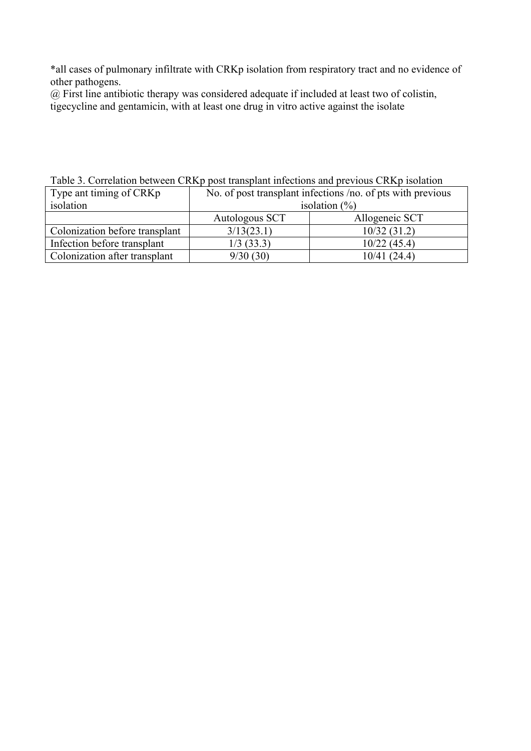\*all cases of pulmonary infiltrate with CRKp isolation from respiratory tract and no evidence of other pathogens.

@ First line antibiotic therapy was considered adequate if included at least two of colistin, tigecycline and gentamicin, with at least one drug in vitro active against the isolate

| Twore 5: Correlation overfour Cruzy pool transplain integrations and previous Cruzy houranted |                                                             |                |  |  |
|-----------------------------------------------------------------------------------------------|-------------------------------------------------------------|----------------|--|--|
| Type ant timing of CRKp                                                                       | No. of post transplant infections /no. of pts with previous |                |  |  |
| isolation                                                                                     | isolation $(\% )$                                           |                |  |  |
|                                                                                               | Autologous SCT                                              | Allogeneic SCT |  |  |
| Colonization before transplant                                                                | 3/13(23.1)                                                  | 10/32(31.2)    |  |  |
| Infection before transplant                                                                   | $1/3$ (33.3)                                                | 10/22(45.4)    |  |  |
| Colonization after transplant                                                                 | 9/30(30)                                                    | 10/41(24.4)    |  |  |

Table 3. Correlation between CRKp post transplant infections and previous CRKp isolation